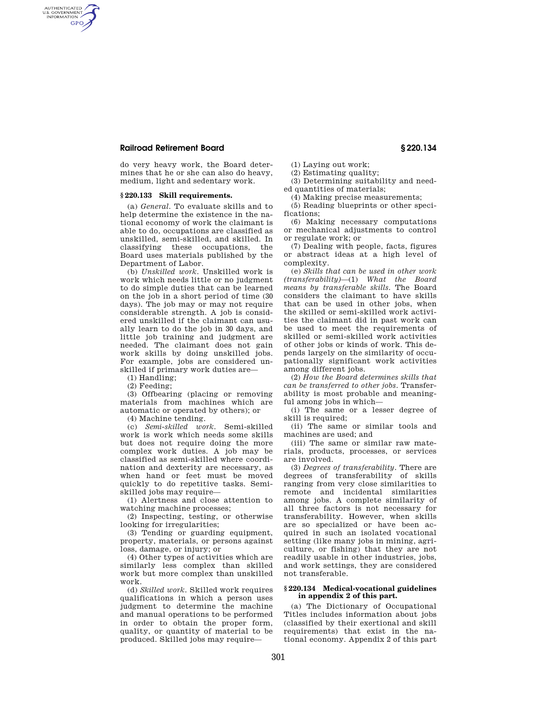## **Railroad Retirement Board § 220.134**

AUTHENTICATED<br>U.S. GOVERNMENT<br>INFORMATION **GPO** 

> do very heavy work, the Board determines that he or she can also do heavy, medium, light and sedentary work.

#### **§ 220.133 Skill requirements.**

(a) *General.* To evaluate skills and to help determine the existence in the national economy of work the claimant is able to do, occupations are classified as unskilled, semi-skilled, and skilled. In classifying these occupations, the Board uses materials published by the Department of Labor.

(b) *Unskilled work.* Unskilled work is work which needs little or no judgment to do simple duties that can be learned on the job in a short period of time (30 days). The job may or may not require considerable strength. A job is considered unskilled if the claimant can usually learn to do the job in 30 days, and little job training and judgment are needed. The claimant does not gain work skills by doing unskilled jobs. For example, jobs are considered unskilled if primary work duties are—

(1) Handling;

(2) Feeding;

(3) Offbearing (placing or removing materials from machines which are automatic or operated by others); or

(4) Machine tending.

(c) *Semi-skilled work.* Semi-skilled work is work which needs some skills but does not require doing the more complex work duties. A job may be classified as semi-skilled where coordination and dexterity are necessary, as when hand or feet must be moved quickly to do repetitive tasks. Semiskilled jobs may require—

(1) Alertness and close attention to watching machine processes;

(2) Inspecting, testing, or otherwise looking for irregularities;

(3) Tending or guarding equipment, property, materials, or persons against loss, damage, or injury; or

(4) Other types of activities which are similarly less complex than skilled work but more complex than unskilled work.

(d) *Skilled work.* Skilled work requires qualifications in which a person uses judgment to determine the machine and manual operations to be performed in order to obtain the proper form, quality, or quantity of material to be produced. Skilled jobs may require(1) Laying out work;

(2) Estimating quality;

(3) Determining suitability and needed quantities of materials;

(4) Making precise measurements;

(5) Reading blueprints or other specifications;

(6) Making necessary computations or mechanical adjustments to control or regulate work; or

(7) Dealing with people, facts, figures or abstract ideas at a high level of complexity.

(e) *Skills that can be used in other work (transferability)*—(1) *What the Board means by transferable skills.* The Board considers the claimant to have skills that can be used in other jobs, when the skilled or semi-skilled work activities the claimant did in past work can be used to meet the requirements of skilled or semi-skilled work activities of other jobs or kinds of work. This depends largely on the similarity of occupationally significant work activities among different jobs.

(2) *How the Board determines skills that can be transferred to other jobs.* Transferability is most probable and meaningful among jobs in which—

(i) The same or a lesser degree of skill is required:

(ii) The same or similar tools and machines are used; and

(iii) The same or similar raw materials, products, processes, or services are involved.

(3) *Degrees of transferability.* There are degrees of transferability of skills ranging from very close similarities to remote and incidental similarities among jobs. A complete similarity of all three factors is not necessary for transferability. However, when skills are so specialized or have been acquired in such an isolated vocational setting (like many jobs in mining, agriculture, or fishing) that they are not readily usable in other industries, jobs, and work settings, they are considered not transferable.

### **§ 220.134 Medical-vocational guidelines in appendix 2 of this part.**

(a) The Dictionary of Occupational Titles includes information about jobs (classified by their exertional and skill requirements) that exist in the national economy. Appendix 2 of this part